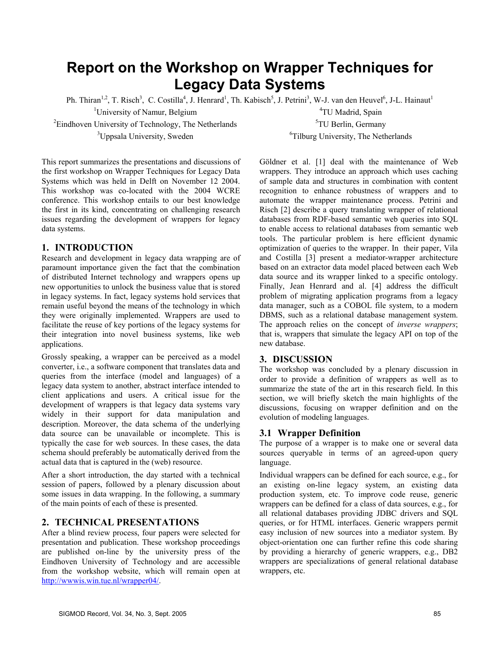# **Report on the Workshop on Wrapper Techniques for Legacy Data Systems**

Ph. Thiran<sup>1,2</sup>, T. Risch<sup>3</sup>, C. Costilla<sup>4</sup>, J. Henrard<sup>1</sup>, Th. Kabisch<sup>5</sup>, J. Petrini<sup>3</sup>, W-J. van den Heuvel<sup>6</sup>, J-L. Hainaut<sup>1</sup>

 $2^2$ Eindhoven University of Technology, The Netherlands  $3$ Uppsala University, Sweden 6

<sup>1</sup>University of Namur, Belgium <sup>4</sup>TU Madrid, Spain <sup>5</sup>TU Berlin, Germany <sup>6</sup>Tilburg University, The Netherlands

This report summarizes the presentations and discussions of the first workshop on Wrapper Techniques for Legacy Data Systems which was held in Delft on November 12 2004. This workshop was co-located with the 2004 WCRE conference. This workshop entails to our best knowledge the first in its kind, concentrating on challenging research issues regarding the development of wrappers for legacy data systems.

## **1. INTRODUCTION**

Research and development in legacy data wrapping are of paramount importance given the fact that the combination of distributed Internet technology and wrappers opens up new opportunities to unlock the business value that is stored in legacy systems. In fact, legacy systems hold services that remain useful beyond the means of the technology in which they were originally implemented. Wrappers are used to facilitate the reuse of key portions of the legacy systems for their integration into novel business systems, like web applications.

Grossly speaking, a wrapper can be perceived as a model converter, i.e., a software component that translates data and queries from the interface (model and languages) of a legacy data system to another, abstract interface intended to client applications and users. A critical issue for the development of wrappers is that legacy data systems vary widely in their support for data manipulation and description. Moreover, the data schema of the underlying data source can be unavailable or incomplete. This is typically the case for web sources. In these cases, the data schema should preferably be automatically derived from the actual data that is captured in the (web) resource.

After a short introduction, the day started with a technical session of papers, followed by a plenary discussion about some issues in data wrapping. In the following, a summary of the main points of each of these is presented.

# **2. TECHNICAL PRESENTATIONS**

After a blind review process, four papers were selected for presentation and publication. These workshop proceedings are published on-line by the university press of the Eindhoven University of Technology and are accessible from the workshop website, which will remain open at [http://wwwis.win.tue.nl/wrapper04/.](http://wwwis.win.tue.nl/wrapper04/)

Göldner et al. [1] deal with the maintenance of Web wrappers. They introduce an approach which uses caching of sample data and structures in combination with content recognition to enhance robustness of wrappers and to automate the wrapper maintenance process. Petrini and Risch [2] describe a query translating wrapper of relational databases from RDF-based semantic web queries into SQL to enable access to relational databases from semantic web tools. The particular problem is here efficient dynamic optimization of queries to the wrapper. In their paper, Vila and Costilla [3] present a mediator-wrapper architecture based on an extractor data model placed between each Web data source and its wrapper linked to a specific ontology. Finally, Jean Henrard and al. [4] address the difficult problem of migrating application programs from a legacy data manager, such as a COBOL file system, to a modern DBMS, such as a relational database management system. The approach relies on the concept of *inverse wrappers*; that is, wrappers that simulate the legacy API on top of the new database.

## **3. DISCUSSION**

The workshop was concluded by a plenary discussion in order to provide a definition of wrappers as well as to summarize the state of the art in this research field. In this section, we will briefly sketch the main highlights of the discussions, focusing on wrapper definition and on the evolution of modeling languages.

## **3.1 Wrapper Definition**

The purpose of a wrapper is to make one or several data sources queryable in terms of an agreed-upon query language.

Individual wrappers can be defined for each source, e.g., for an existing on-line legacy system, an existing data production system, etc. To improve code reuse, generic wrappers can be defined for a class of data sources, e.g., for all relational databases providing JDBC drivers and SQL queries, or for HTML interfaces. Generic wrappers permit easy inclusion of new sources into a mediator system. By object-orientation one can further refine this code sharing by providing a hierarchy of generic wrappers, e.g., DB2 wrappers are specializations of general relational database wrappers, etc.